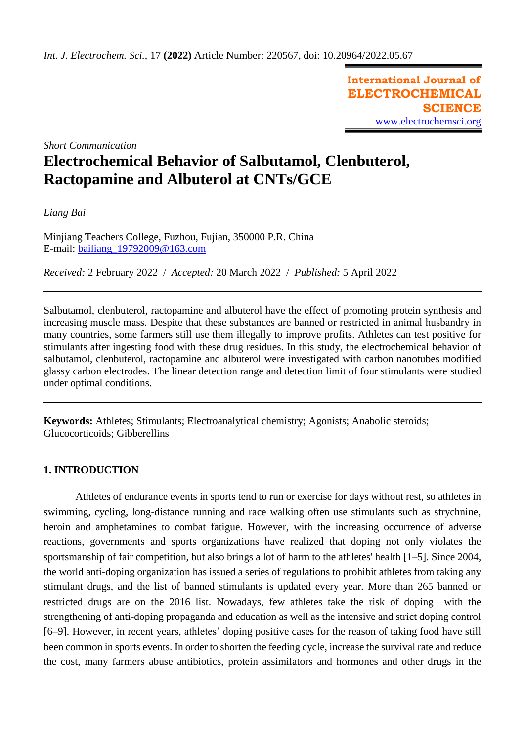**International Journal of ELECTROCHEMICAL SCIENCE** [www.electrochemsci.org](http://www.electrochemsci.org/)

*Short Communication*

# **Electrochemical Behavior of Salbutamol, Clenbuterol, Ractopamine and Albuterol at CNTs/GCE**

*Liang Bai*

Minjiang Teachers College, Fuzhou, Fujian, 350000 P.R. China E-mail: [bailiang\\_19792009@163.com](mailto:bailiang_19792009@163.com)

*Received:* 2 February 2022/ *Accepted:* 20 March 2022 / *Published:* 5 April 2022

Salbutamol, clenbuterol, ractopamine and albuterol have the effect of promoting protein synthesis and increasing muscle mass. Despite that these substances are banned or restricted in animal husbandry in many countries, some farmers still use them illegally to improve profits. Athletes can test positive for stimulants after ingesting food with these drug residues. In this study, the electrochemical behavior of salbutamol, clenbuterol, ractopamine and albuterol were investigated with carbon nanotubes modified glassy carbon electrodes. The linear detection range and detection limit of four stimulants were studied under optimal conditions.

**Keywords:** Athletes; Stimulants; Electroanalytical chemistry; Agonists; Anabolic steroids; Glucocorticoids; Gibberellins

## **1. INTRODUCTION**

Athletes of endurance events in sports tend to run or exercise for days without rest, so athletes in swimming, cycling, long-distance running and race walking often use stimulants such as strychnine, heroin and amphetamines to combat fatigue. However, with the increasing occurrence of adverse reactions, governments and sports organizations have realized that doping not only violates the sportsmanship of fair competition, but also brings a lot of harm to the athletes' health [1–5]. Since 2004, the world anti-doping organization has issued a series of regulations to prohibit athletes from taking any stimulant drugs, and the list of banned stimulants is updated every year. More than 265 banned or restricted drugs are on the 2016 list. Nowadays, few athletes take the risk of doping with the strengthening of anti-doping propaganda and education as well as the intensive and strict doping control [6–9]. However, in recent years, athletes' doping positive cases for the reason of taking food have still been common in sports events. In order to shorten the feeding cycle, increase the survival rate and reduce the cost, many farmers abuse antibiotics, protein assimilators and hormones and other drugs in the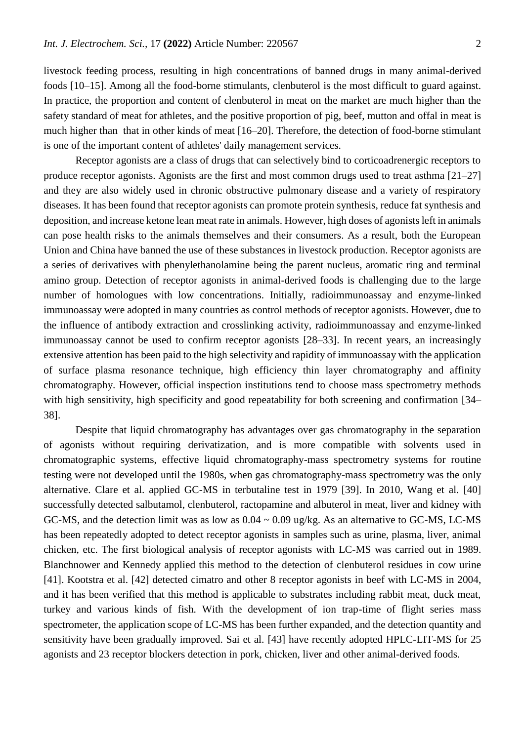livestock feeding process, resulting in high concentrations of banned drugs in many animal-derived foods [10–15]. Among all the food-borne stimulants, clenbuterol is the most difficult to guard against. In practice, the proportion and content of clenbuterol in meat on the market are much higher than the safety standard of meat for athletes, and the positive proportion of pig, beef, mutton and offal in meat is much higher than that in other kinds of meat [16–20]. Therefore, the detection of food-borne stimulant is one of the important content of athletes' daily management services.

Receptor agonists are a class of drugs that can selectively bind to corticoadrenergic receptors to produce receptor agonists. Agonists are the first and most common drugs used to treat asthma [21–27] and they are also widely used in chronic obstructive pulmonary disease and a variety of respiratory diseases. It has been found that receptor agonists can promote protein synthesis, reduce fat synthesis and deposition, and increase ketone lean meat rate in animals. However, high doses of agonists left in animals can pose health risks to the animals themselves and their consumers. As a result, both the European Union and China have banned the use of these substances in livestock production. Receptor agonists are a series of derivatives with phenylethanolamine being the parent nucleus, aromatic ring and terminal amino group. Detection of receptor agonists in animal-derived foods is challenging due to the large number of homologues with low concentrations. Initially, radioimmunoassay and enzyme-linked immunoassay were adopted in many countries as control methods of receptor agonists. However, due to the influence of antibody extraction and crosslinking activity, radioimmunoassay and enzyme-linked immunoassay cannot be used to confirm receptor agonists [28–33]. In recent years, an increasingly extensive attention has been paid to the high selectivity and rapidity of immunoassay with the application of surface plasma resonance technique, high efficiency thin layer chromatography and affinity chromatography. However, official inspection institutions tend to choose mass spectrometry methods with high sensitivity, high specificity and good repeatability for both screening and confirmation [34– 38].

Despite that liquid chromatography has advantages over gas chromatography in the separation of agonists without requiring derivatization, and is more compatible with solvents used in chromatographic systems, effective liquid chromatography-mass spectrometry systems for routine testing were not developed until the 1980s, when gas chromatography-mass spectrometry was the only alternative. Clare et al. applied GC-MS in terbutaline test in 1979 [39]. In 2010, Wang et al. [40] successfully detected salbutamol, clenbuterol, ractopamine and albuterol in meat, liver and kidney with GC-MS, and the detection limit was as low as 0.04 ~ 0.09 ug/kg. As an alternative to GC-MS, LC-MS has been repeatedly adopted to detect receptor agonists in samples such as urine, plasma, liver, animal chicken, etc. The first biological analysis of receptor agonists with LC-MS was carried out in 1989. Blanchnower and Kennedy applied this method to the detection of clenbuterol residues in cow urine [41]. Kootstra et al. [42] detected cimatro and other 8 receptor agonists in beef with LC-MS in 2004, and it has been verified that this method is applicable to substrates including rabbit meat, duck meat, turkey and various kinds of fish. With the development of ion trap-time of flight series mass spectrometer, the application scope of LC-MS has been further expanded, and the detection quantity and sensitivity have been gradually improved. Sai et al. [43] have recently adopted HPLC-LIT-MS for 25 agonists and 23 receptor blockers detection in pork, chicken, liver and other animal-derived foods.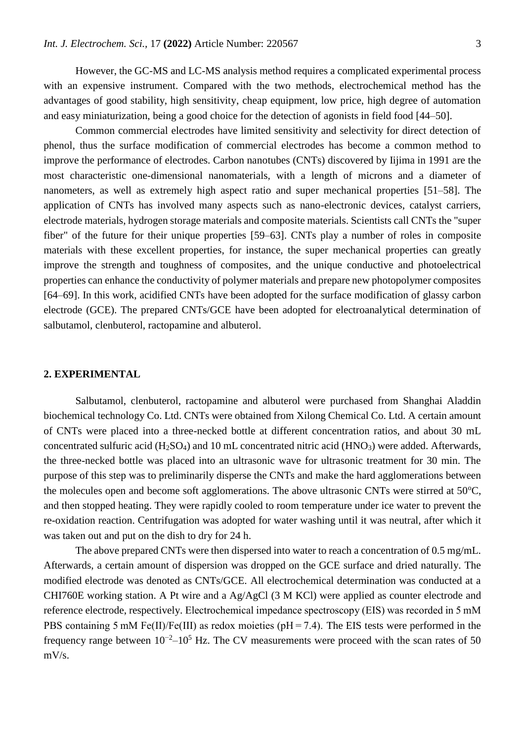However, the GC-MS and LC-MS analysis method requires a complicated experimental process with an expensive instrument. Compared with the two methods, electrochemical method has the advantages of good stability, high sensitivity, cheap equipment, low price, high degree of automation and easy miniaturization, being a good choice for the detection of agonists in field food [44–50].

Common commercial electrodes have limited sensitivity and selectivity for direct detection of phenol, thus the surface modification of commercial electrodes has become a common method to improve the performance of electrodes. Carbon nanotubes (CNTs) discovered by Iijima in 1991 are the most characteristic one-dimensional nanomaterials, with a length of microns and a diameter of nanometers, as well as extremely high aspect ratio and super mechanical properties [51–58]. The application of CNTs has involved many aspects such as nano-electronic devices, catalyst carriers, electrode materials, hydrogen storage materials and composite materials. Scientists call CNTs the "super fiber" of the future for their unique properties [59–63]. CNTs play a number of roles in composite materials with these excellent properties, for instance, the super mechanical properties can greatly improve the strength and toughness of composites, and the unique conductive and photoelectrical properties can enhance the conductivity of polymer materials and prepare new photopolymer composites [64–69]. In this work, acidified CNTs have been adopted for the surface modification of glassy carbon electrode (GCE). The prepared CNTs/GCE have been adopted for electroanalytical determination of salbutamol, clenbuterol, ractopamine and albuterol.

### **2. EXPERIMENTAL**

Salbutamol, clenbuterol, ractopamine and albuterol were purchased from Shanghai Aladdin biochemical technology Co. Ltd. CNTs were obtained from Xilong Chemical Co. Ltd. A certain amount of CNTs were placed into a three-necked bottle at different concentration ratios, and about 30 mL concentrated sulfuric acid (H<sub>2</sub>SO<sub>4</sub>) and 10 mL concentrated nitric acid (HNO<sub>3</sub>) were added. Afterwards, the three-necked bottle was placed into an ultrasonic wave for ultrasonic treatment for 30 min. The purpose of this step was to preliminarily disperse the CNTs and make the hard agglomerations between the molecules open and become soft agglomerations. The above ultrasonic CNTs were stirred at  $50^{\circ}$ C, and then stopped heating. They were rapidly cooled to room temperature under ice water to prevent the re-oxidation reaction. Centrifugation was adopted for water washing until it was neutral, after which it was taken out and put on the dish to dry for 24 h.

The above prepared CNTs were then dispersed into water to reach a concentration of 0.5 mg/mL. Afterwards, a certain amount of dispersion was dropped on the GCE surface and dried naturally. The modified electrode was denoted as CNTs/GCE. All electrochemical determination was conducted at a CHI760E working station. A Pt wire and a Ag/AgCl (3 M KCl) were applied as counter electrode and reference electrode, respectively. Electrochemical impedance spectroscopy (EIS) was recorded in 5 mM PBS containing 5 mM Fe(II)/Fe(III) as redox moieties ( $pH = 7.4$ ). The EIS tests were performed in the frequency range between  $10^{-2}$ – $10^{5}$  Hz. The CV measurements were proceed with the scan rates of 50  $mV/s$ .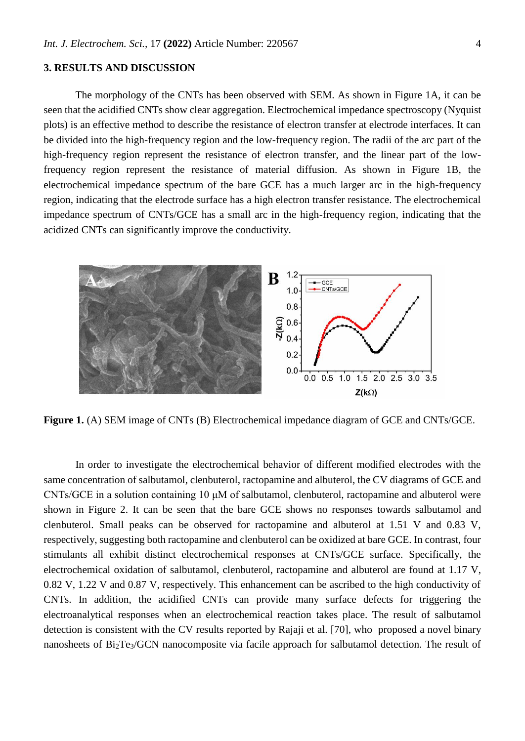#### **3. RESULTS AND DISCUSSION**

The morphology of the CNTs has been observed with SEM. As shown in Figure 1A, it can be seen that the acidified CNTs show clear aggregation. Electrochemical impedance spectroscopy (Nyquist plots) is an effective method to describe the resistance of electron transfer at electrode interfaces. It can be divided into the high-frequency region and the low-frequency region. The radii of the arc part of the high-frequency region represent the resistance of electron transfer, and the linear part of the lowfrequency region represent the resistance of material diffusion. As shown in Figure 1B, the electrochemical impedance spectrum of the bare GCE has a much larger arc in the high-frequency region, indicating that the electrode surface has a high electron transfer resistance. The electrochemical impedance spectrum of CNTs/GCE has a small arc in the high-frequency region, indicating that the acidized CNTs can significantly improve the conductivity.



Figure 1. (A) SEM image of CNTs (B) Electrochemical impedance diagram of GCE and CNTs/GCE.

In order to investigate the electrochemical behavior of different modified electrodes with the same concentration of salbutamol, clenbuterol, ractopamine and albuterol, the CV diagrams of GCE and CNTs/GCE in a solution containing 10 μM of salbutamol, clenbuterol, ractopamine and albuterol were shown in Figure 2. It can be seen that the bare GCE shows no responses towards salbutamol and clenbuterol. Small peaks can be observed for ractopamine and albuterol at 1.51 V and 0.83 V, respectively, suggesting both ractopamine and clenbuterol can be oxidized at bare GCE. In contrast, four stimulants all exhibit distinct electrochemical responses at CNTs/GCE surface. Specifically, the electrochemical oxidation of salbutamol, clenbuterol, ractopamine and albuterol are found at 1.17 V, 0.82 V, 1.22 V and 0.87 V, respectively. This enhancement can be ascribed to the high conductivity of CNTs. In addition, the acidified CNTs can provide many surface defects for triggering the electroanalytical responses when an electrochemical reaction takes place. The result of salbutamol detection is consistent with the CV results reported by Rajaji et al. [70], who proposed a novel binary nanosheets of Bi<sub>2</sub>Te<sub>3</sub>/GCN nanocomposite via facile approach for salbutamol detection. The result of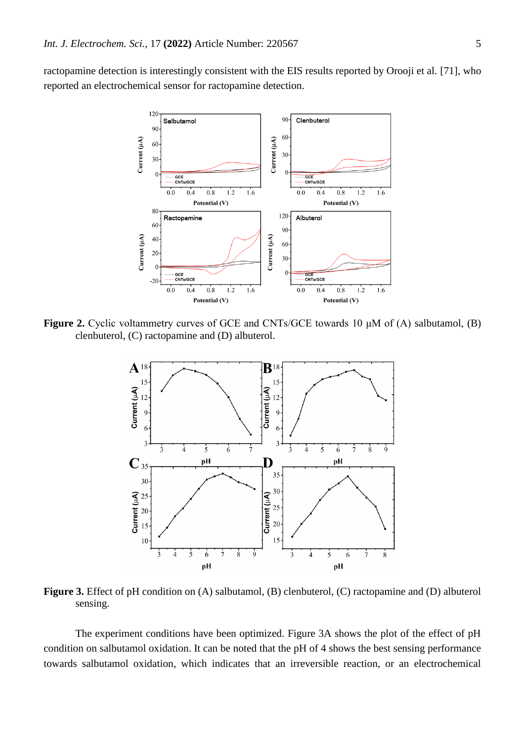ractopamine detection is interestingly consistent with the EIS results reported by Orooji et al. [71], who reported an electrochemical sensor for ractopamine detection.



**Figure 2.** Cyclic voltammetry curves of GCE and CNTs/GCE towards 10 μM of (A) salbutamol, (B) clenbuterol, (C) ractopamine and (D) albuterol.



**Figure 3.** Effect of pH condition on (A) salbutamol, (B) clenbuterol, (C) ractopamine and (D) albuterol sensing.

The experiment conditions have been optimized. Figure 3A shows the plot of the effect of pH condition on salbutamol oxidation. It can be noted that the pH of 4 shows the best sensing performance towards salbutamol oxidation, which indicates that an irreversible reaction, or an electrochemical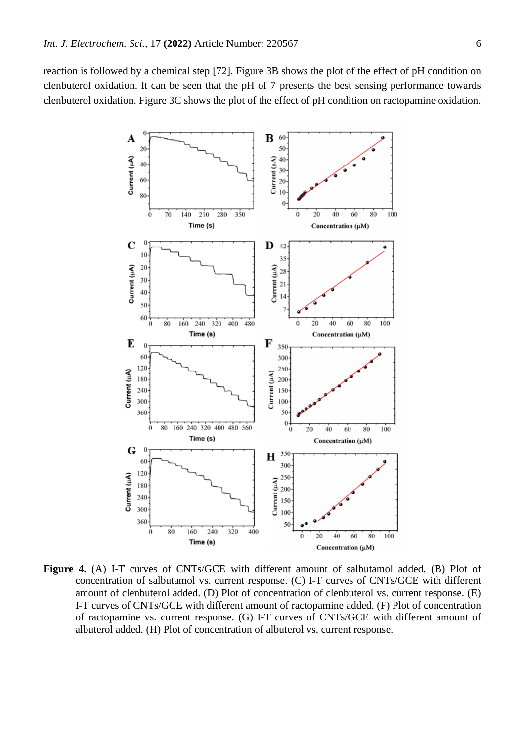reaction is followed by a chemical step [72]. Figure 3B shows the plot of the effect of pH condition on clenbuterol oxidation. It can be seen that the pH of 7 presents the best sensing performance towards clenbuterol oxidation. Figure 3C shows the plot of the effect of pH condition on ractopamine oxidation.



Figure 4. (A) I-T curves of CNTs/GCE with different amount of salbutamol added. (B) Plot of concentration of salbutamol vs. current response. (C) I-T curves of CNTs/GCE with different amount of clenbuterol added. (D) Plot of concentration of clenbuterol vs. current response. (E) I-T curves of CNTs/GCE with different amount of ractopamine added. (F) Plot of concentration of ractopamine vs. current response. (G) I-T curves of CNTs/GCE with different amount of albuterol added. (H) Plot of concentration of albuterol vs. current response.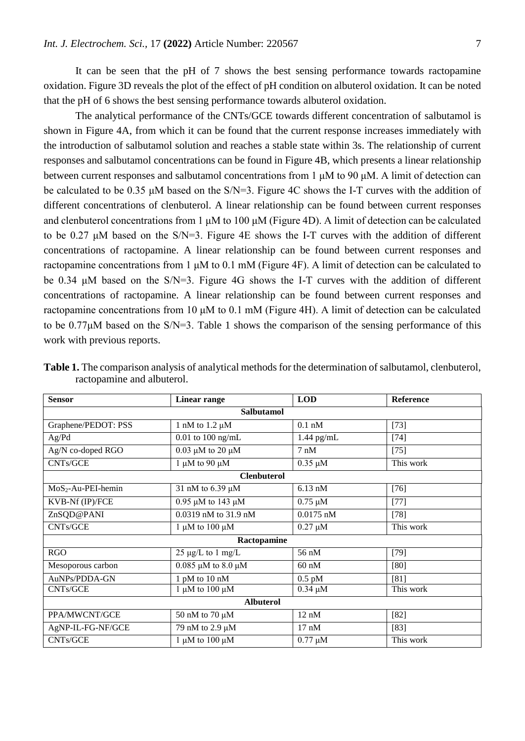It can be seen that the pH of 7 shows the best sensing performance towards ractopamine oxidation. Figure 3D reveals the plot of the effect of pH condition on albuterol oxidation. It can be noted that the pH of 6 shows the best sensing performance towards albuterol oxidation.

The analytical performance of the CNTs/GCE towards different concentration of salbutamol is shown in Figure 4A, from which it can be found that the current response increases immediately with the introduction of salbutamol solution and reaches a stable state within 3s. The relationship of current responses and salbutamol concentrations can be found in Figure 4B, which presents a linear relationship between current responses and salbutamol concentrations from 1 μM to 90 μM. A limit of detection can be calculated to be 0.35 μM based on the S/N=3. Figure 4C shows the I-T curves with the addition of different concentrations of clenbuterol. A linear relationship can be found between current responses and clenbuterol concentrations from 1 μM to 100 μM (Figure 4D). A limit of detection can be calculated to be 0.27 μM based on the S/N=3. Figure 4E shows the I-T curves with the addition of different concentrations of ractopamine. A linear relationship can be found between current responses and ractopamine concentrations from 1 μM to 0.1 mM (Figure 4F). A limit of detection can be calculated to be 0.34 μM based on the S/N=3. Figure 4G shows the I-T curves with the addition of different concentrations of ractopamine. A linear relationship can be found between current responses and ractopamine concentrations from 10 μM to 0.1 mM (Figure 4H). A limit of detection can be calculated to be 0.77μM based on the S/N=3. Table 1 shows the comparison of the sensing performance of this work with previous reports.

| <b>Sensor</b>       | <b>Linear range</b>          | <b>LOD</b>      | Reference |
|---------------------|------------------------------|-----------------|-----------|
| Salbutamol          |                              |                 |           |
| Graphene/PEDOT: PSS | 1 nM to $1.2 \mu M$          | $0.1$ nM        | $[73]$    |
| Ag/Pd               | $0.01$ to $100$ ng/mL        | $1.44$ pg/mL    | $[74]$    |
| Ag/N co-doped RGO   | $0.03 \mu M$ to 20 $\mu M$   | $7 \text{ nM}$  | $[75]$    |
| CNTs/GCE            | 1 $\mu$ M to 90 $\mu$ M      | $0.35 \mu M$    | This work |
| <b>Clenbuterol</b>  |                              |                 |           |
| $MoS2-Au-PEI-hemin$ | 31 nM to 6.39 µM             | $6.13$ nM       | $[76]$    |
| KVB-Nf (IP)/FCE     | $0.95 \mu M$ to 143 μM       | $0.75 \mu M$    | $[77]$    |
| ZnSQD@PANI          | 0.0319 nM to 31.9 nM         | $0.0175$ nM     | $[78]$    |
| CNTs/GCE            | 1 $\mu$ M to 100 $\mu$ M     | $0.27 \mu M$    | This work |
| Ractopamine         |                              |                 |           |
| <b>RGO</b>          | $25 \mu g/L$ to 1 mg/L       | 56 nM           | $[79]$    |
| Mesoporous carbon   | $0.085 \mu M$ to $8.0 \mu M$ | $60 \text{ nM}$ | [80]      |
| AuNPs/PDDA-GN       | 1 pM to 10 nM                | $0.5$ pM        | [81]      |
| CNTs/GCE            | 1 $\mu$ M to 100 $\mu$ M     | $0.34 \mu M$    | This work |
| <b>Albuterol</b>    |                              |                 |           |
| PPA/MWCNT/GCE       | 50 nM to 70 µM               | 12 nM           | $[82]$    |
| AgNP-IL-FG-NF/GCE   | 79 nM to 2.9 µM              | $17 \text{ nM}$ | $[83]$    |
| CNTs/GCE            | 1 $\mu$ M to 100 $\mu$ M     | $0.77 \mu M$    | This work |

**Table 1.** The comparison analysis of analytical methods for the determination of salbutamol, clenbuterol, ractopamine and albuterol.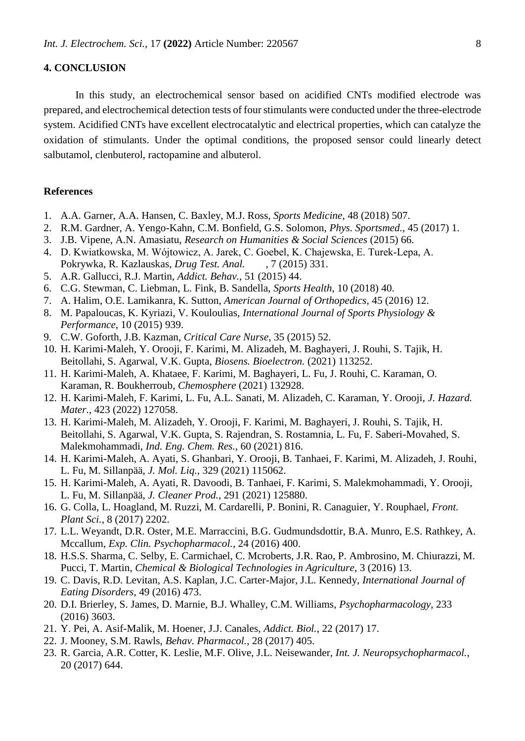#### **4. CONCLUSION**

In this study, an electrochemical sensor based on acidified CNTs modified electrode was prepared, and electrochemical detection tests of four stimulants were conducted under the three-electrode system. Acidified CNTs have excellent electrocatalytic and electrical properties, which can catalyze the oxidation of stimulants. Under the optimal conditions, the proposed sensor could linearly detect salbutamol, clenbuterol, ractopamine and albuterol.

#### **References**

- 1. A.A. Garner, A.A. Hansen, C. Baxley, M.J. Ross, *Sports Medicine*, 48 (2018) 507.
- 2. R.M. Gardner, A. Yengo-Kahn, C.M. Bonfield, G.S. Solomon, *Phys. Sportsmed.*, 45 (2017) 1.
- 3. J.B. Vipene, A.N. Amasiatu, *Research on Humanities & Social Sciences* (2015) 66.
- 4. D. Kwiatkowska, M. Wójtowicz, A. Jarek, C. Goebel, K. Chajewska, E. Turek‐Lepa, A. Pokrywka, R. Kazlauskas, *Drug Test. Anal.* , 7 (2015) 331.
- 5. A.R. Gallucci, R.J. Martin, *Addict. Behav.*, 51 (2015) 44.
- 6. C.G. Stewman, C. Liebman, L. Fink, B. Sandella, *Sports Health*, 10 (2018) 40.
- 7. A. Halim, O.E. Lamikanra, K. Sutton, *American Journal of Orthopedics*, 45 (2016) 12.
- 8. M. Papaloucas, K. Kyriazi, V. Kouloulias, *International Journal of Sports Physiology & Performance*, 10 (2015) 939.
- 9. C.W. Goforth, J.B. Kazman, *Critical Care Nurse*, 35 (2015) 52.
- 10. H. Karimi-Maleh, Y. Orooji, F. Karimi, M. Alizadeh, M. Baghayeri, J. Rouhi, S. Tajik, H. Beitollahi, S. Agarwal, V.K. Gupta, *Biosens. Bioelectron.* (2021) 113252.
- 11. H. Karimi-Maleh, A. Khataee, F. Karimi, M. Baghayeri, L. Fu, J. Rouhi, C. Karaman, O. Karaman, R. Boukherroub, *Chemosphere* (2021) 132928.
- 12. H. Karimi-Maleh, F. Karimi, L. Fu, A.L. Sanati, M. Alizadeh, C. Karaman, Y. Orooji, *J. Hazard. Mater.*, 423 (2022) 127058.
- 13. H. Karimi-Maleh, M. Alizadeh, Y. Orooji, F. Karimi, M. Baghayeri, J. Rouhi, S. Tajik, H. Beitollahi, S. Agarwal, V.K. Gupta, S. Rajendran, S. Rostamnia, L. Fu, F. Saberi-Movahed, S. Malekmohammadi, *Ind. Eng. Chem. Res.*, 60 (2021) 816.
- 14. H. Karimi-Maleh, A. Ayati, S. Ghanbari, Y. Orooji, B. Tanhaei, F. Karimi, M. Alizadeh, J. Rouhi, L. Fu, M. Sillanpää, *J. Mol. Liq.*, 329 (2021) 115062.
- 15. H. Karimi-Maleh, A. Ayati, R. Davoodi, B. Tanhaei, F. Karimi, S. Malekmohammadi, Y. Orooji, L. Fu, M. Sillanpää, *J. Cleaner Prod.*, 291 (2021) 125880.
- 16. G. Colla, L. Hoagland, M. Ruzzi, M. Cardarelli, P. Bonini, R. Canaguier, Y. Rouphael, *Front. Plant Sci.*, 8 (2017) 2202.
- 17. L.L. Weyandt, D.R. Oster, M.E. Marraccini, B.G. Gudmundsdottir, B.A. Munro, E.S. Rathkey, A. Mccallum, *Exp. Clin. Psychopharmacol.*, 24 (2016) 400.
- 18. H.S.S. Sharma, C. Selby, E. Carmichael, C. Mcroberts, J.R. Rao, P. Ambrosino, M. Chiurazzi, M. Pucci, T. Martin, *Chemical & Biological Technologies in Agriculture*, 3 (2016) 13.
- 19. C. Davis, R.D. Levitan, A.S. Kaplan, J.C. Carter-Major, J.L. Kennedy, *International Journal of Eating Disorders*, 49 (2016) 473.
- 20. D.I. Brierley, S. James, D. Marnie, B.J. Whalley, C.M. Williams, *Psychopharmacology*, 233 (2016) 3603.
- 21. Y. Pei, A. Asif-Malik, M. Hoener, J.J. Canales, *Addict. Biol.*, 22 (2017) 17.
- 22. J. Mooney, S.M. Rawls, *Behav. Pharmacol.*, 28 (2017) 405.
- 23. R. Garcia, A.R. Cotter, K. Leslie, M.F. Olive, J.L. Neisewander, *Int. J. Neuropsychopharmacol.*, 20 (2017) 644.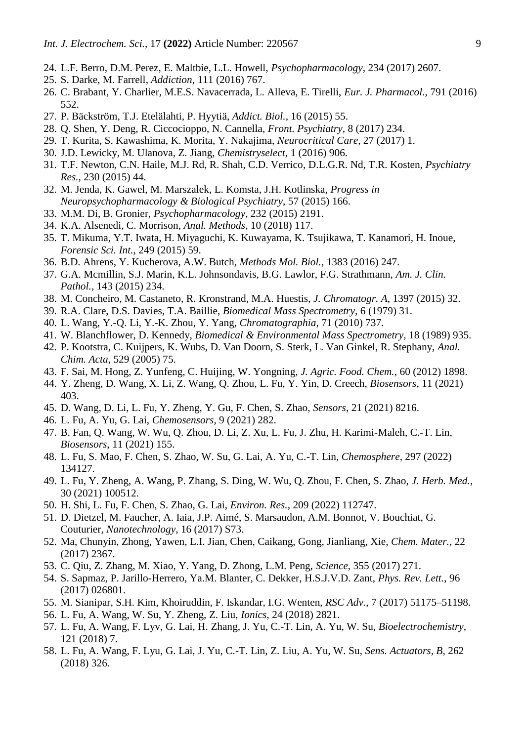- 24. L.F. Berro, D.M. Perez, E. Maltbie, L.L. Howell, *Psychopharmacology*, 234 (2017) 2607.
- 25. S. Darke, M. Farrell, *Addiction*, 111 (2016) 767.
- 26. C. Brabant, Y. Charlier, M.E.S. Navacerrada, L. Alleva, E. Tirelli, *Eur. J. Pharmacol.*, 791 (2016) 552.
- 27. P. Bäckström, T.J. Etelälahti, P. Hyytiä, *Addict. Biol.*, 16 (2015) 55.
- 28. Q. Shen, Y. Deng, R. Ciccocioppo, N. Cannella, *Front. Psychiatry*, 8 (2017) 234.
- 29. T. Kurita, S. Kawashima, K. Morita, Y. Nakajima, *Neurocritical Care*, 27 (2017) 1.
- 30. J.D. Lewicky, M. Ulanova, Z. Jiang, *Chemistryselect*, 1 (2016) 906.
- 31. T.F. Newton, C.N. Haile, M.J. Rd, R. Shah, C.D. Verrico, D.L.G.R. Nd, T.R. Kosten, *Psychiatry Res.*, 230 (2015) 44.
- 32. M. Jenda, K. Gawel, M. Marszalek, L. Komsta, J.H. Kotlinska, *Progress in Neuropsychopharmacology & Biological Psychiatry*, 57 (2015) 166.
- 33. M.M. Di, B. Gronier, *Psychopharmacology*, 232 (2015) 2191.
- 34. K.A. Alsenedi, C. Morrison, *Anal. Methods*, 10 (2018) 117.
- 35. T. Mikuma, Y.T. Iwata, H. Miyaguchi, K. Kuwayama, K. Tsujikawa, T. Kanamori, H. Inoue, *Forensic Sci. Int.*, 249 (2015) 59.
- 36. B.D. Ahrens, Y. Kucherova, A.W. Butch, *Methods Mol. Biol.*, 1383 (2016) 247.
- 37. G.A. Mcmillin, S.J. Marin, K.L. Johnsondavis, B.G. Lawlor, F.G. Strathmann, *Am. J. Clin. Pathol.*, 143 (2015) 234.
- 38. M. Concheiro, M. Castaneto, R. Kronstrand, M.A. Huestis, *J. Chromatogr. A*, 1397 (2015) 32.
- 39. R.A. Clare, D.S. Davies, T.A. Baillie, *Biomedical Mass Spectrometry*, 6 (1979) 31.
- 40. L. Wang, Y.-Q. Li, Y.-K. Zhou, Y. Yang, *Chromatographia*, 71 (2010) 737.
- 41. W. Blanchflower, D. Kennedy, *Biomedical & Environmental Mass Spectrometry*, 18 (1989) 935.
- 42. P. Kootstra, C. Kuijpers, K. Wubs, D. Van Doorn, S. Sterk, L. Van Ginkel, R. Stephany, *Anal. Chim. Acta*, 529 (2005) 75.
- 43. F. Sai, M. Hong, Z. Yunfeng, C. Huijing, W. Yongning, *J. Agric. Food. Chem.*, 60 (2012) 1898.
- 44. Y. Zheng, D. Wang, X. Li, Z. Wang, Q. Zhou, L. Fu, Y. Yin, D. Creech, *Biosensors*, 11 (2021) 403.
- 45. D. Wang, D. Li, L. Fu, Y. Zheng, Y. Gu, F. Chen, S. Zhao, *Sensors*, 21 (2021) 8216.
- 46. L. Fu, A. Yu, G. Lai, *Chemosensors*, 9 (2021) 282.
- 47. B. Fan, Q. Wang, W. Wu, Q. Zhou, D. Li, Z. Xu, L. Fu, J. Zhu, H. Karimi-Maleh, C.-T. Lin, *Biosensors*, 11 (2021) 155.
- 48. L. Fu, S. Mao, F. Chen, S. Zhao, W. Su, G. Lai, A. Yu, C.-T. Lin, *Chemosphere*, 297 (2022) 134127.
- 49. L. Fu, Y. Zheng, A. Wang, P. Zhang, S. Ding, W. Wu, Q. Zhou, F. Chen, S. Zhao, *J. Herb. Med.*, 30 (2021) 100512.
- 50. H. Shi, L. Fu, F. Chen, S. Zhao, G. Lai, *Environ. Res.*, 209 (2022) 112747.
- 51. D. Dietzel, M. Faucher, A. Iaia, J.P. Aimé, S. Marsaudon, A.M. Bonnot, V. Bouchiat, G. Couturier, *Nanotechnology*, 16 (2017) S73.
- 52. Ma, Chunyin, Zhong, Yawen, L.I. Jian, Chen, Caikang, Gong, Jianliang, Xie, *Chem. Mater.*, 22 (2017) 2367.
- 53. C. Qiu, Z. Zhang, M. Xiao, Y. Yang, D. Zhong, L.M. Peng, *Science*, 355 (2017) 271.
- 54. S. Sapmaz, P. Jarillo-Herrero, Ya.M. Blanter, C. Dekker, H.S.J.V.D. Zant, *Phys. Rev. Lett.*, 96 (2017) 026801.
- 55. M. Sianipar, S.H. Kim, Khoiruddin, F. Iskandar, I.G. Wenten, *RSC Adv.*, 7 (2017) 51175–51198.
- 56. L. Fu, A. Wang, W. Su, Y. Zheng, Z. Liu, *Ionics*, 24 (2018) 2821.
- 57. L. Fu, A. Wang, F. Lyv, G. Lai, H. Zhang, J. Yu, C.-T. Lin, A. Yu, W. Su, *Bioelectrochemistry*, 121 (2018) 7.
- 58. L. Fu, A. Wang, F. Lyu, G. Lai, J. Yu, C.-T. Lin, Z. Liu, A. Yu, W. Su, *Sens. Actuators, B*, 262 (2018) 326.